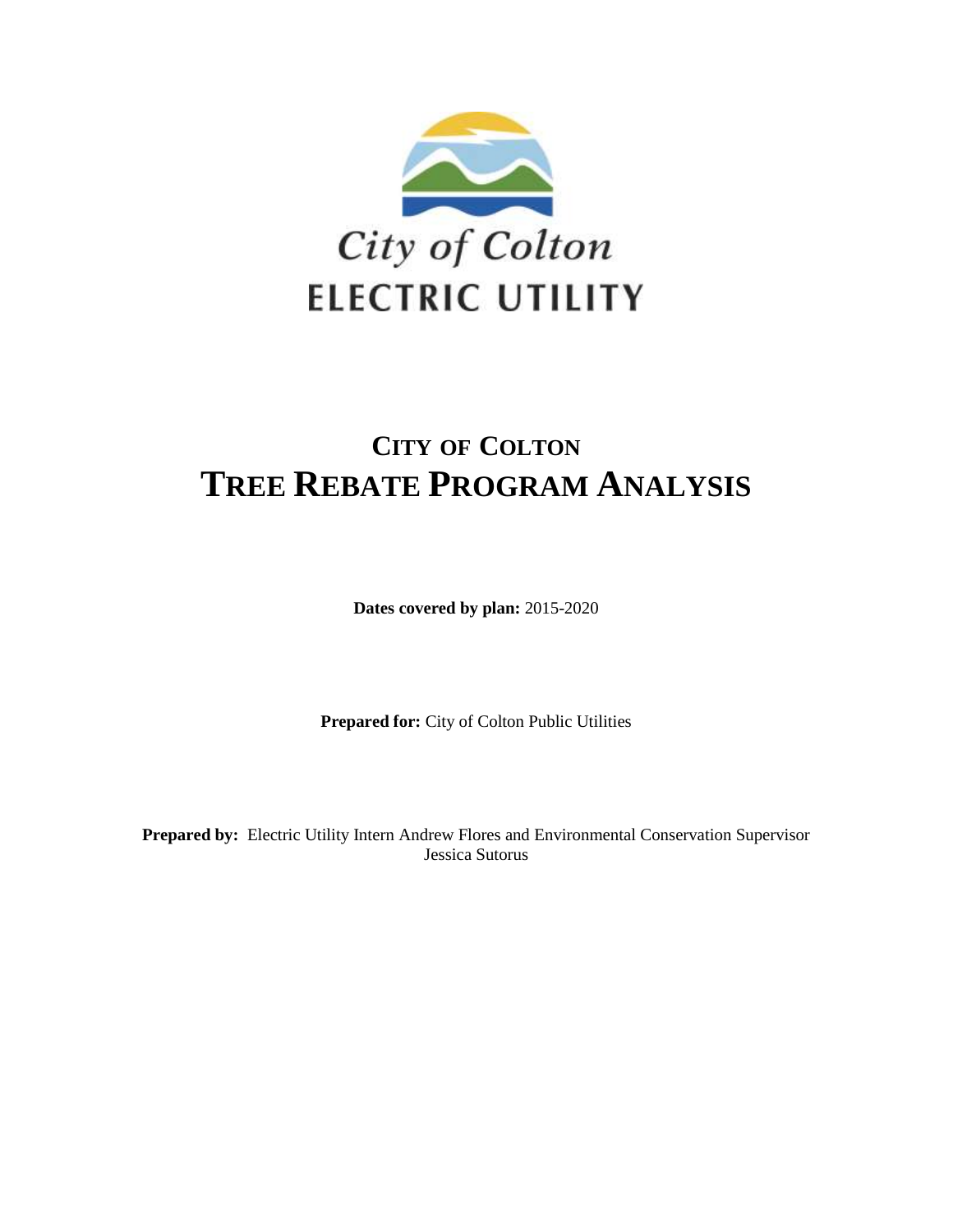

# **CITY OF COLTON TREE REBATE PROGRAM ANALYSIS**

**Dates covered by plan:** 2015-2020

**Prepared for:** City of Colton Public Utilities

**Prepared by:** Electric Utility Intern Andrew Flores and Environmental Conservation Supervisor Jessica Sutorus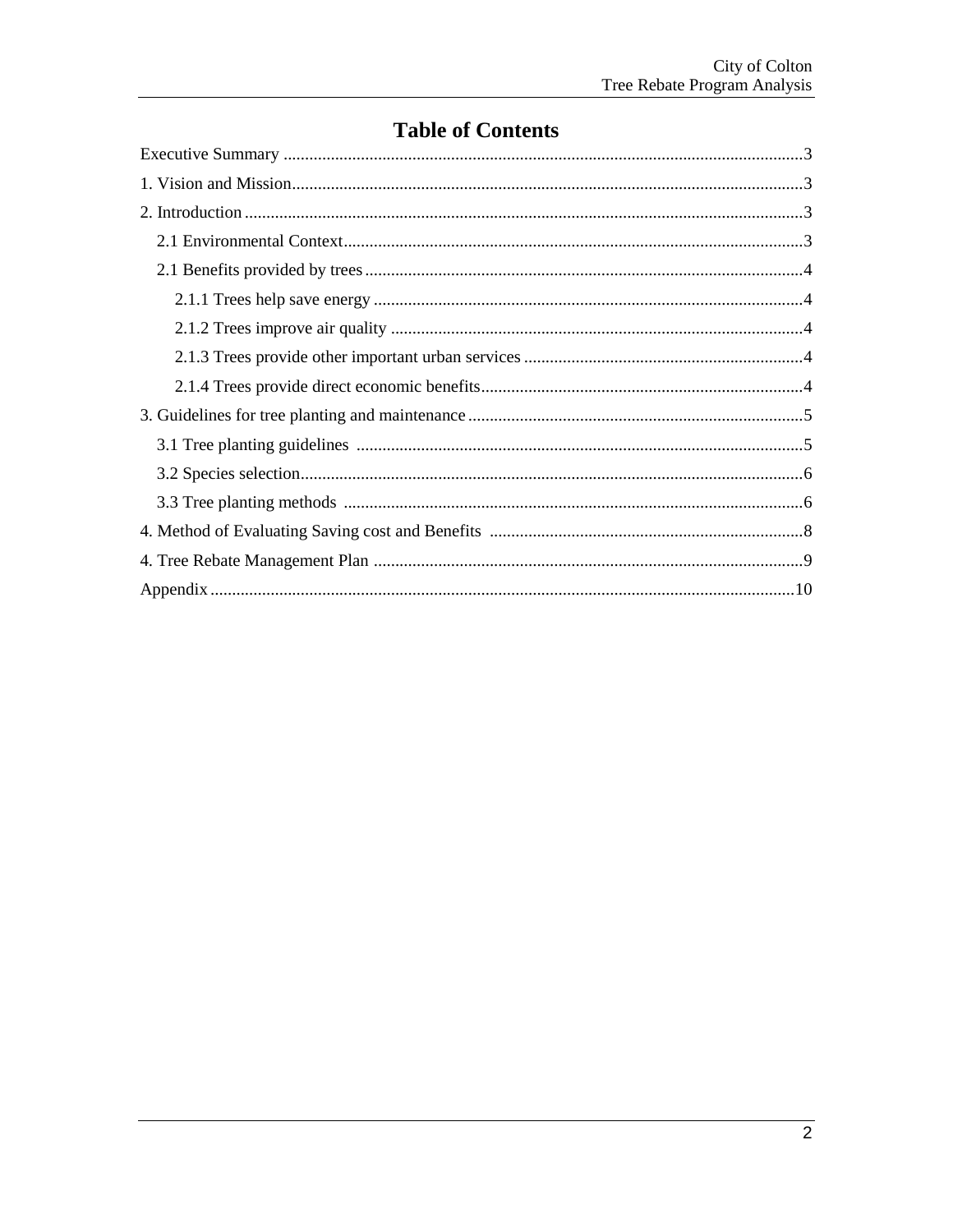## **Table of Contents**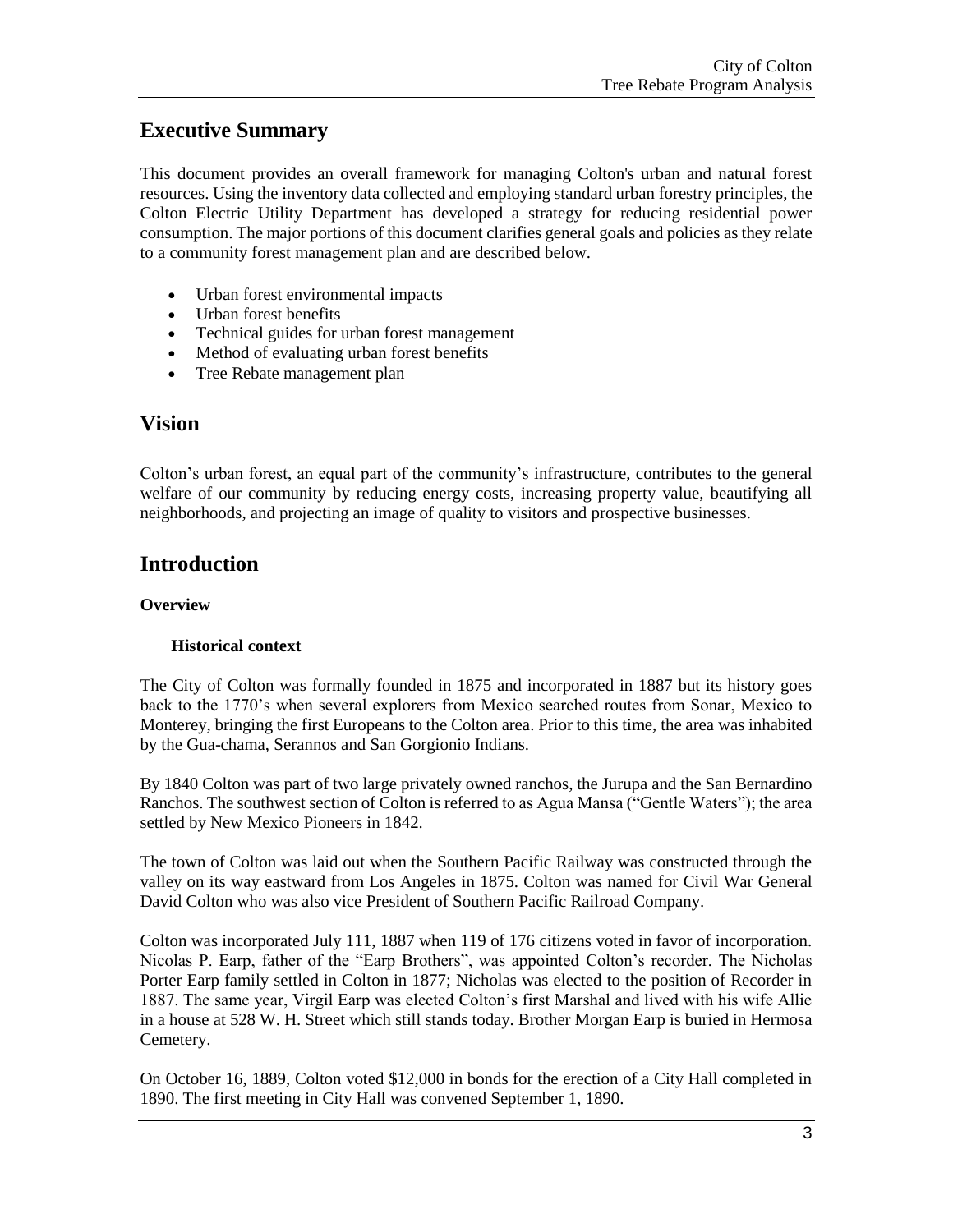## **Executive Summary**

This document provides an overall framework for managing Colton's urban and natural forest resources. Using the inventory data collected and employing standard urban forestry principles, the Colton Electric Utility Department has developed a strategy for reducing residential power consumption. The major portions of this document clarifies general goals and policies as they relate to a community forest management plan and are described below.

- Urban forest environmental impacts
- Urban forest benefits
- Technical guides for urban forest management
- Method of evaluating urban forest benefits
- Tree Rebate management plan

## **Vision**

Colton's urban forest, an equal part of the community's infrastructure, contributes to the general welfare of our community by reducing energy costs, increasing property value, beautifying all neighborhoods, and projecting an image of quality to visitors and prospective businesses.

## **Introduction**

### **Overview**

### **Historical context**

The City of Colton was formally founded in 1875 and incorporated in 1887 but its history goes back to the 1770's when several explorers from Mexico searched routes from Sonar, Mexico to Monterey, bringing the first Europeans to the Colton area. Prior to this time, the area was inhabited by the Gua-chama, Serannos and San Gorgionio Indians.

By 1840 Colton was part of two large privately owned ranchos, the Jurupa and the San Bernardino Ranchos. The southwest section of Colton is referred to as Agua Mansa ("Gentle Waters"); the area settled by New Mexico Pioneers in 1842.

The town of Colton was laid out when the Southern Pacific Railway was constructed through the valley on its way eastward from Los Angeles in 1875. Colton was named for Civil War General David Colton who was also vice President of Southern Pacific Railroad Company.

Colton was incorporated July 111, 1887 when 119 of 176 citizens voted in favor of incorporation. Nicolas P. Earp, father of the "Earp Brothers", was appointed Colton's recorder. The Nicholas Porter Earp family settled in Colton in 1877; Nicholas was elected to the position of Recorder in 1887. The same year, Virgil Earp was elected Colton's first Marshal and lived with his wife Allie in a house at 528 W. H. Street which still stands today. Brother Morgan Earp is buried in Hermosa Cemetery.

On October 16, 1889, Colton voted \$12,000 in bonds for the erection of a City Hall completed in 1890. The first meeting in City Hall was convened September 1, 1890.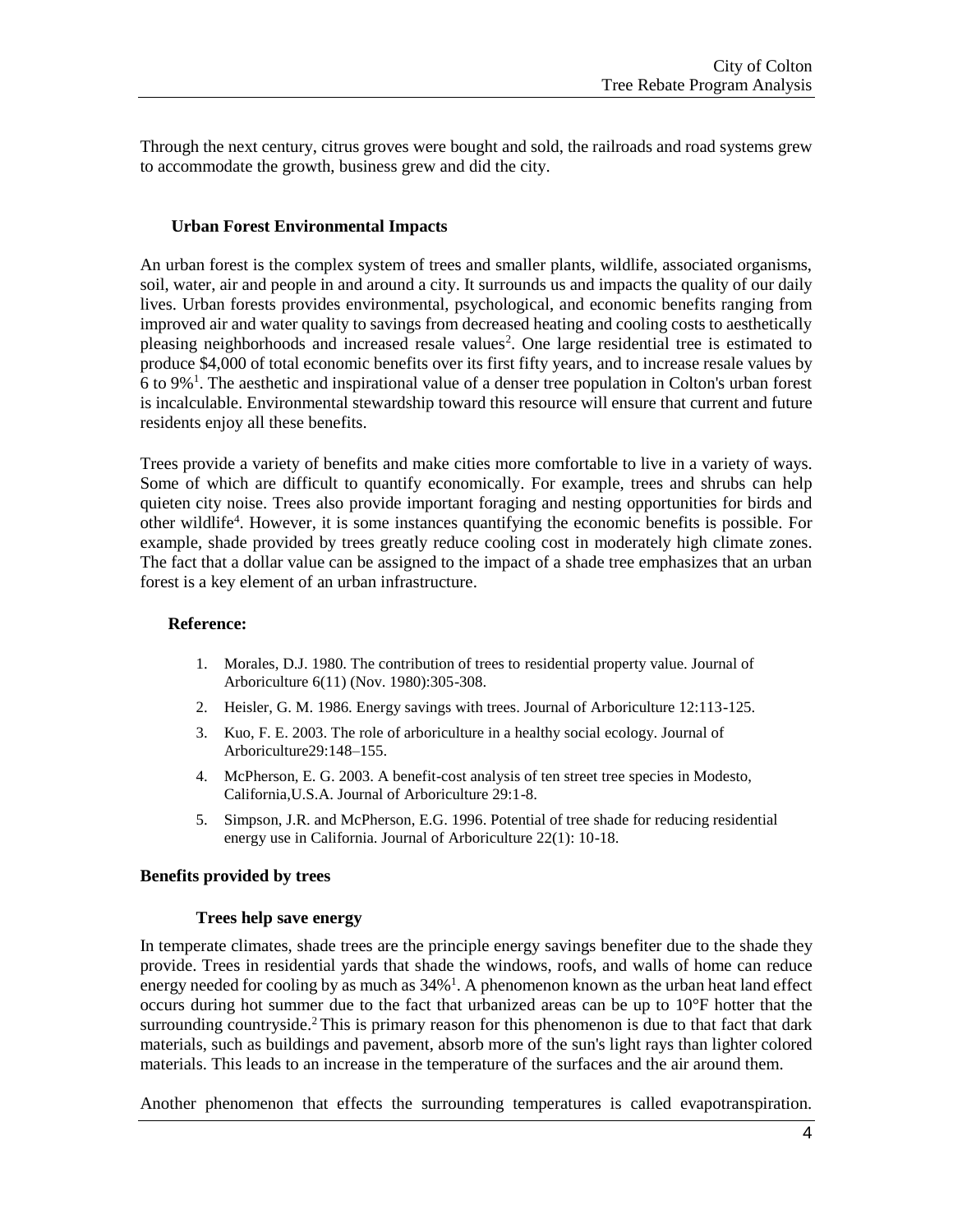Through the next century, citrus groves were bought and sold, the railroads and road systems grew to accommodate the growth, business grew and did the city.

#### **Urban Forest Environmental Impacts**

An urban forest is the complex system of trees and smaller plants, wildlife, associated organisms, soil, water, air and people in and around a city. It surrounds us and impacts the quality of our daily lives. Urban forests provides environmental, psychological, and economic benefits ranging from improved air and water quality to savings from decreased heating and cooling costs to aesthetically pleasing neighborhoods and increased resale values<sup>2</sup>. One large residential tree is estimated to produce \$4,000 of total economic benefits over its first fifty years, and to increase resale values by 6 to 9%<sup>1</sup> . The aesthetic and inspirational value of a denser tree population in Colton's urban forest is incalculable. Environmental stewardship toward this resource will ensure that current and future residents enjoy all these benefits.

Trees provide a variety of benefits and make cities more comfortable to live in a variety of ways. Some of which are difficult to quantify economically. For example, trees and shrubs can help quieten city noise. Trees also provide important foraging and nesting opportunities for birds and other wildlife<sup>4</sup>. However, it is some instances quantifying the economic benefits is possible. For example, shade provided by trees greatly reduce cooling cost in moderately high climate zones. The fact that a dollar value can be assigned to the impact of a shade tree emphasizes that an urban forest is a key element of an urban infrastructure.

#### **Reference:**

- 1. Morales, D.J. 1980. The contribution of trees to residential property value. Journal of Arboriculture 6(11) (Nov. 1980):305-308.
- 2. Heisler, G. M. 1986. Energy savings with trees. Journal of Arboriculture 12:113-125.
- 3. Kuo, F. E. 2003. The role of arboriculture in a healthy social ecology. Journal of Arboriculture29:148–155.
- 4. McPherson, E. G. 2003. A benefit-cost analysis of ten street tree species in Modesto, California,U.S.A. Journal of Arboriculture 29:1-8.
- 5. Simpson, J.R. and McPherson, E.G. 1996. Potential of tree shade for reducing residential energy use in California. Journal of Arboriculture 22(1): 10-18.

#### **Benefits provided by trees**

#### **Trees help save energy**

In temperate climates, shade trees are the principle energy savings benefiter due to the shade they provide. Trees in residential yards that shade the windows, roofs, and walls of home can reduce energy needed for cooling by as much as  $34\%$ <sup>1</sup>. A phenomenon known as the urban heat land effect occurs during hot summer due to the fact that urbanized areas can be up to 10°F hotter that the surrounding countryside.<sup>2</sup> This is primary reason for this phenomenon is due to that fact that dark materials, such as buildings and pavement, absorb more of the sun's light rays than lighter colored materials. This leads to an increase in the temperature of the surfaces and the air around them.

Another phenomenon that effects the surrounding temperatures is called evapotranspiration.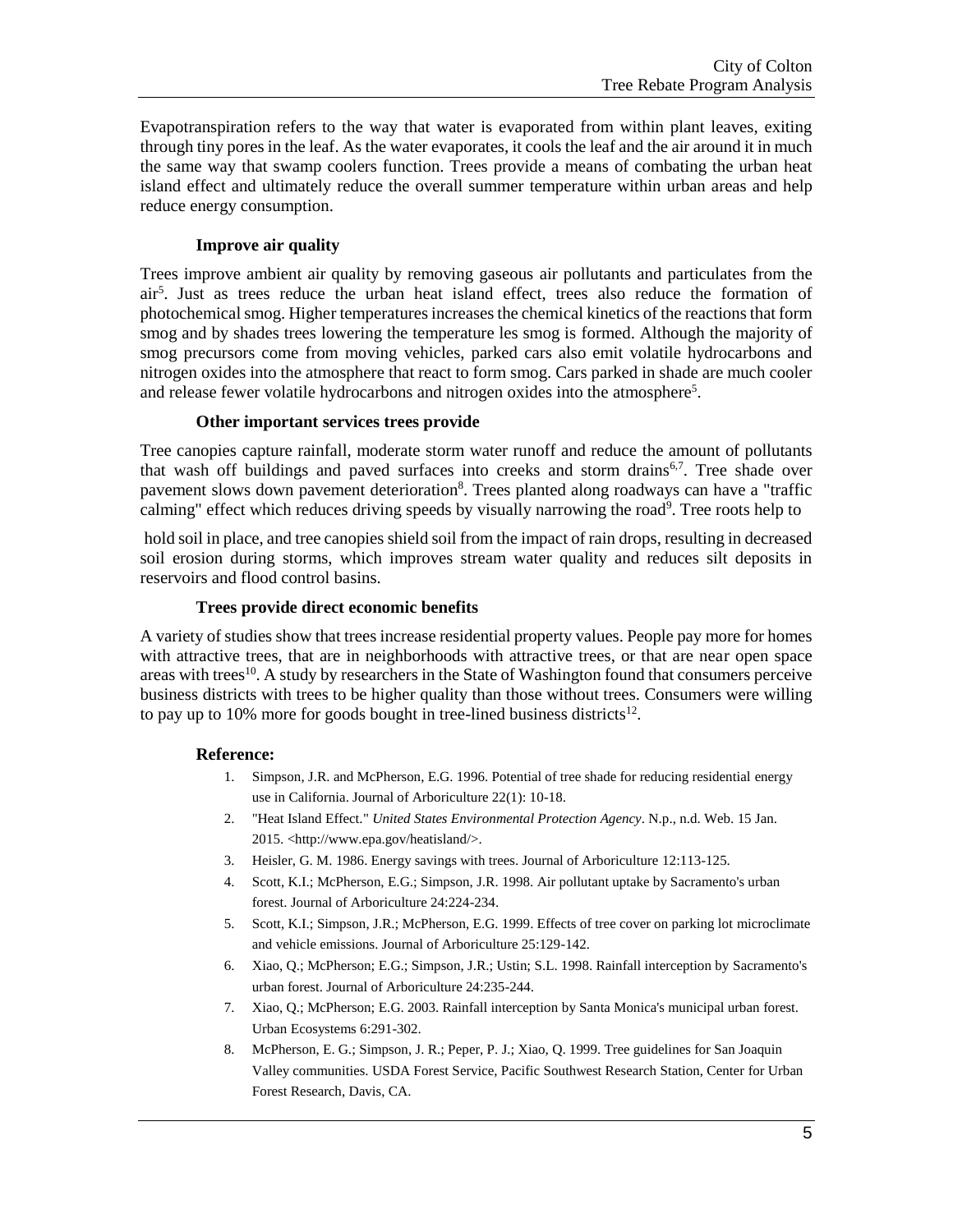Evapotranspiration refers to the way that water is evaporated from within plant leaves, exiting through tiny pores in the leaf. As the water evaporates, it cools the leaf and the air around it in much the same way that swamp coolers function. Trees provide a means of combating the urban heat island effect and ultimately reduce the overall summer temperature within urban areas and help reduce energy consumption.

#### **Improve air quality**

Trees improve ambient air quality by removing gaseous air pollutants and particulates from the air<sup>5</sup> . Just as trees reduce the urban heat island effect, trees also reduce the formation of photochemical smog. Higher temperatures increases the chemical kinetics of the reactions that form smog and by shades trees lowering the temperature les smog is formed. Although the majority of smog precursors come from moving vehicles, parked cars also emit volatile hydrocarbons and nitrogen oxides into the atmosphere that react to form smog. Cars parked in shade are much cooler and release fewer volatile hydrocarbons and nitrogen oxides into the atmosphere<sup>5</sup>.

#### **Other important services trees provide**

Tree canopies capture rainfall, moderate storm water runoff and reduce the amount of pollutants that wash off buildings and paved surfaces into creeks and storm drains<sup>6,7</sup>. Tree shade over pavement slows down pavement deterioration<sup>8</sup>. Trees planted along roadways can have a "traffic calming" effect which reduces driving speeds by visually narrowing the road<sup>9</sup>. Tree roots help to

hold soil in place, and tree canopies shield soil from the impact of rain drops, resulting in decreased soil erosion during storms, which improves stream water quality and reduces silt deposits in reservoirs and flood control basins.

#### **Trees provide direct economic benefits**

A variety of studies show that trees increase residential property values. People pay more for homes with attractive trees, that are in neighborhoods with attractive trees, or that are near open space areas with trees<sup>10</sup>. A study by researchers in the State of Washington found that consumers perceive business districts with trees to be higher quality than those without trees. Consumers were willing to pay up to 10% more for goods bought in tree-lined business districts<sup>12</sup>.

#### **Reference:**

- 1. Simpson, J.R. and McPherson, E.G. 1996. Potential of tree shade for reducing residential energy use in California. Journal of Arboriculture 22(1): 10-18.
- 2. "Heat Island Effect." *United States Environmental Protection Agency*. N.p., n.d. Web. 15 Jan. 2015. <http://www.epa.gov/heatisland/>.
- 3. Heisler, G. M. 1986. Energy savings with trees. Journal of Arboriculture 12:113-125.
- 4. Scott, K.I.; McPherson, E.G.; Simpson, J.R. 1998. Air pollutant uptake by Sacramento's urban forest. Journal of Arboriculture 24:224-234.
- 5. Scott, K.I.; Simpson, J.R.; McPherson, E.G. 1999. Effects of tree cover on parking lot microclimate and vehicle emissions. Journal of Arboriculture 25:129-142.
- 6. Xiao, Q.; McPherson; E.G.; Simpson, J.R.; Ustin; S.L. 1998. Rainfall interception by Sacramento's urban forest. Journal of Arboriculture 24:235-244.
- 7. Xiao, Q.; McPherson; E.G. 2003. Rainfall interception by Santa Monica's municipal urban forest. Urban Ecosystems 6:291-302.
- 8. McPherson, E. G.; Simpson, J. R.; Peper, P. J.; Xiao, Q. 1999. Tree guidelines for San Joaquin Valley communities. USDA Forest Service, Pacific Southwest Research Station, Center for Urban Forest Research, Davis, CA.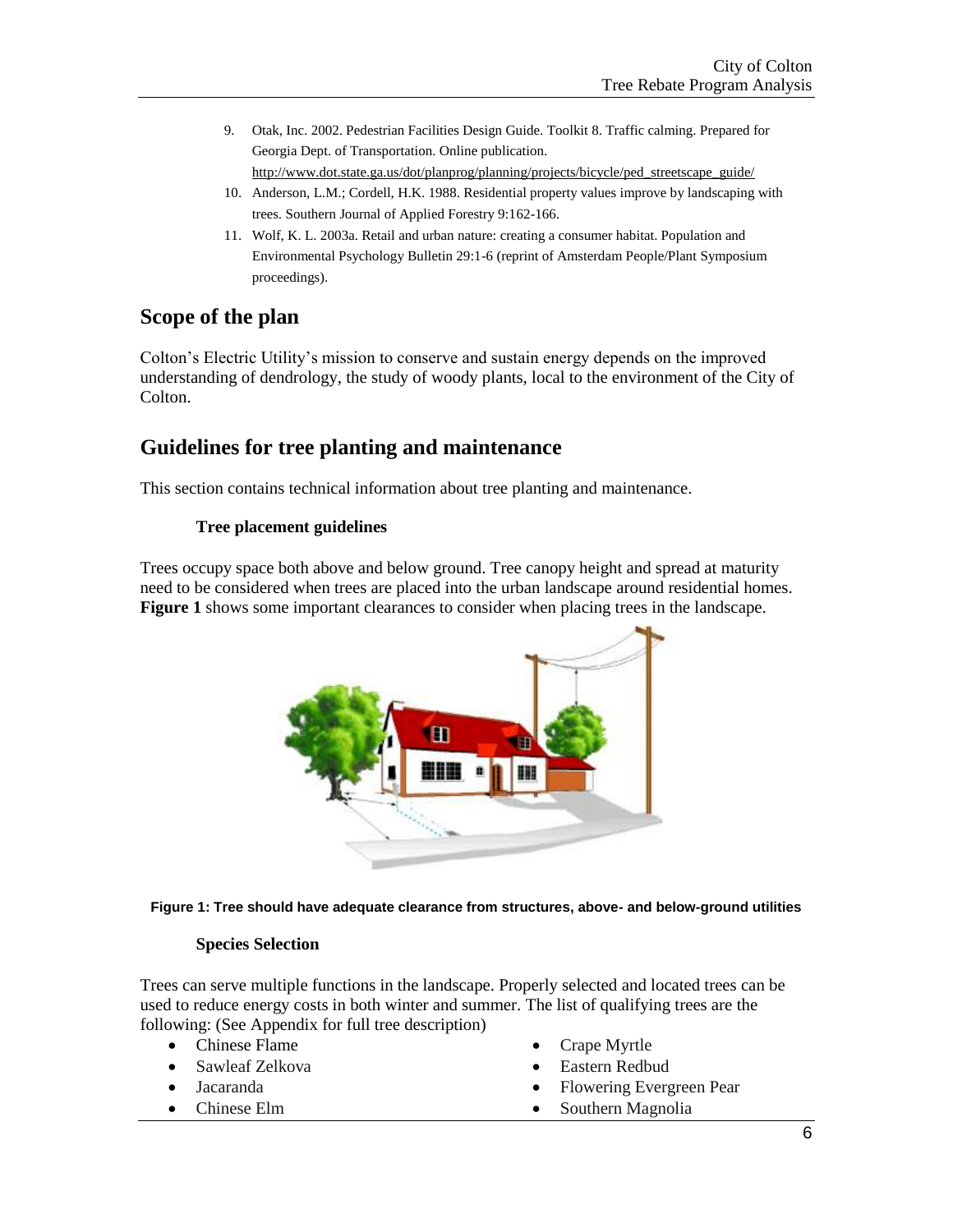9. Otak, Inc. 2002. Pedestrian Facilities Design Guide. Toolkit 8. Traffic calming. Prepared for Georgia Dept. of Transportation. Online publication.

[http://www.dot.state.ga.us/dot/planprog/planning/projects/bicycle/ped\\_streetscape\\_guide/](http://www.dot.state.ga.us/dot/planprog/planning/projects/bicycle/ped_streetscape_guide/) 10. Anderson, L.M.; Cordell, H.K. 1988. Residential property values improve by landscaping with

- trees. Southern Journal of Applied Forestry 9:162-166.
- 11. Wolf, K. L. 2003a. Retail and urban nature: creating a consumer habitat. Population and Environmental Psychology Bulletin 29:1-6 (reprint of Amsterdam People/Plant Symposium proceedings).

## **Scope of the plan**

Colton's Electric Utility's mission to conserve and sustain energy depends on the improved understanding of dendrology, the study of woody plants, local to the environment of the City of Colton.

## **Guidelines for tree planting and maintenance**

This section contains technical information about tree planting and maintenance.

### **Tree placement guidelines**

Trees occupy space both above and below ground. Tree canopy height and spread at maturity need to be considered when trees are placed into the urban landscape around residential homes. **Figure 1** shows some important clearances to consider when placing trees in the landscape.





### **Species Selection**

Trees can serve multiple functions in the landscape. Properly selected and located trees can be used to reduce energy costs in both winter and summer. The list of qualifying trees are the following: (See Appendix for full tree description)

- Chinese Flame
- Sawleaf Zelkova
- Jacaranda
- Chinese Elm
- Crape Myrtle
- Eastern Redbud
- Flowering Evergreen Pear
- Southern Magnolia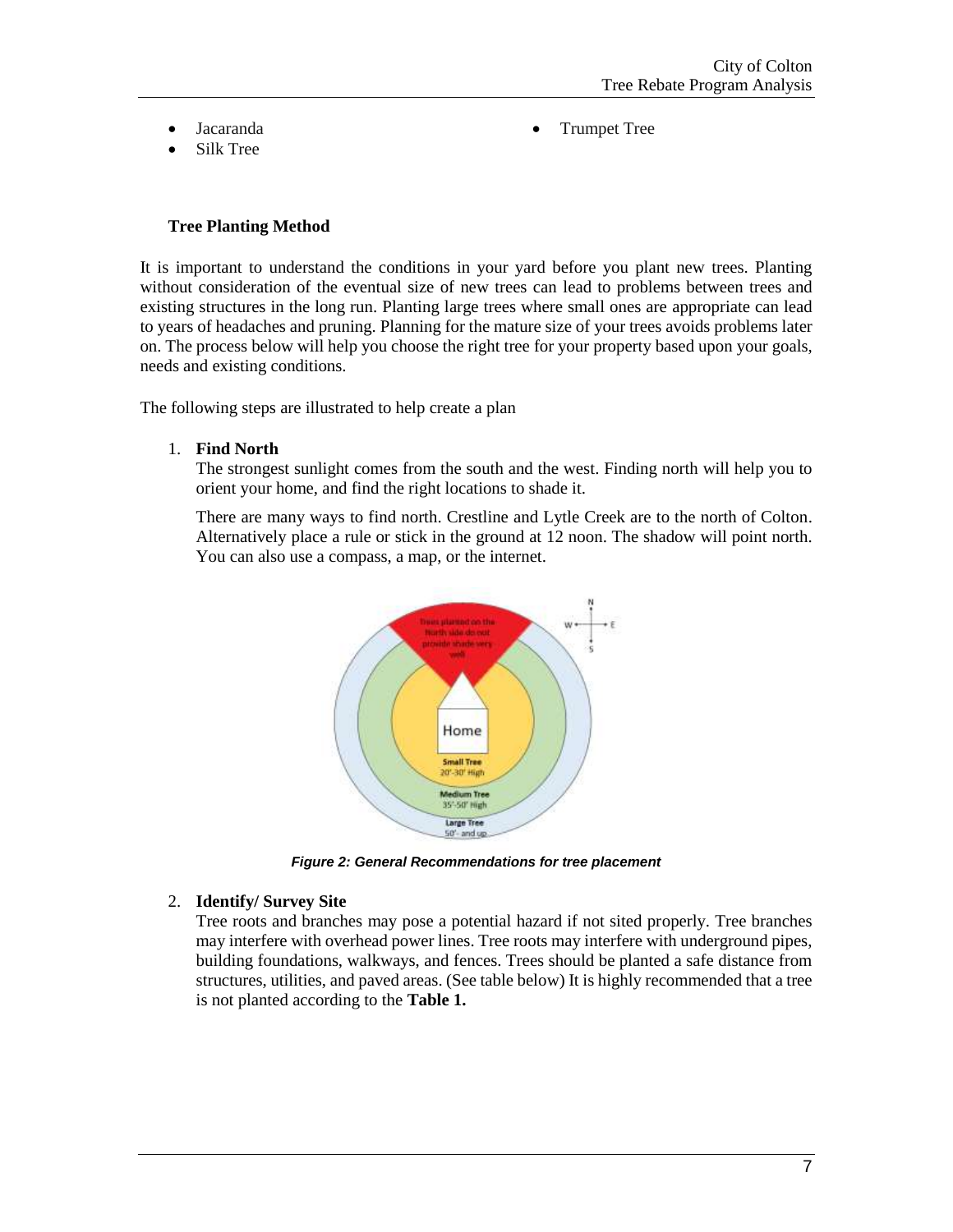- Jacaranda
- Silk Tree

Trumpet Tree

#### **Tree Planting Method**

It is important to understand the conditions in your yard before you plant new trees. Planting without consideration of the eventual size of new trees can lead to problems between trees and existing structures in the long run. Planting large trees where small ones are appropriate can lead to years of headaches and pruning. Planning for the mature size of your trees avoids problems later on. The process below will help you choose the right tree for your property based upon your goals, needs and existing conditions.

The following steps are illustrated to help create a plan

1. **Find North**

The strongest sunlight comes from the south and the west. Finding north will help you to orient your home, and find the right locations to shade it.

There are many ways to find north. Crestline and Lytle Creek are to the north of Colton. Alternatively place a rule or stick in the ground at 12 noon. The shadow will point north. You can also use a compass, a map, or the internet.



*Figure 2: General Recommendations for tree placement*

#### 2. **Identify/ Survey Site**

Tree roots and branches may pose a potential hazard if not sited properly. Tree branches may interfere with overhead power lines. Tree roots may interfere with underground pipes, building foundations, walkways, and fences. Trees should be planted a safe distance from structures, utilities, and paved areas. (See table below) It is highly recommended that a tree is not planted according to the **Table 1.**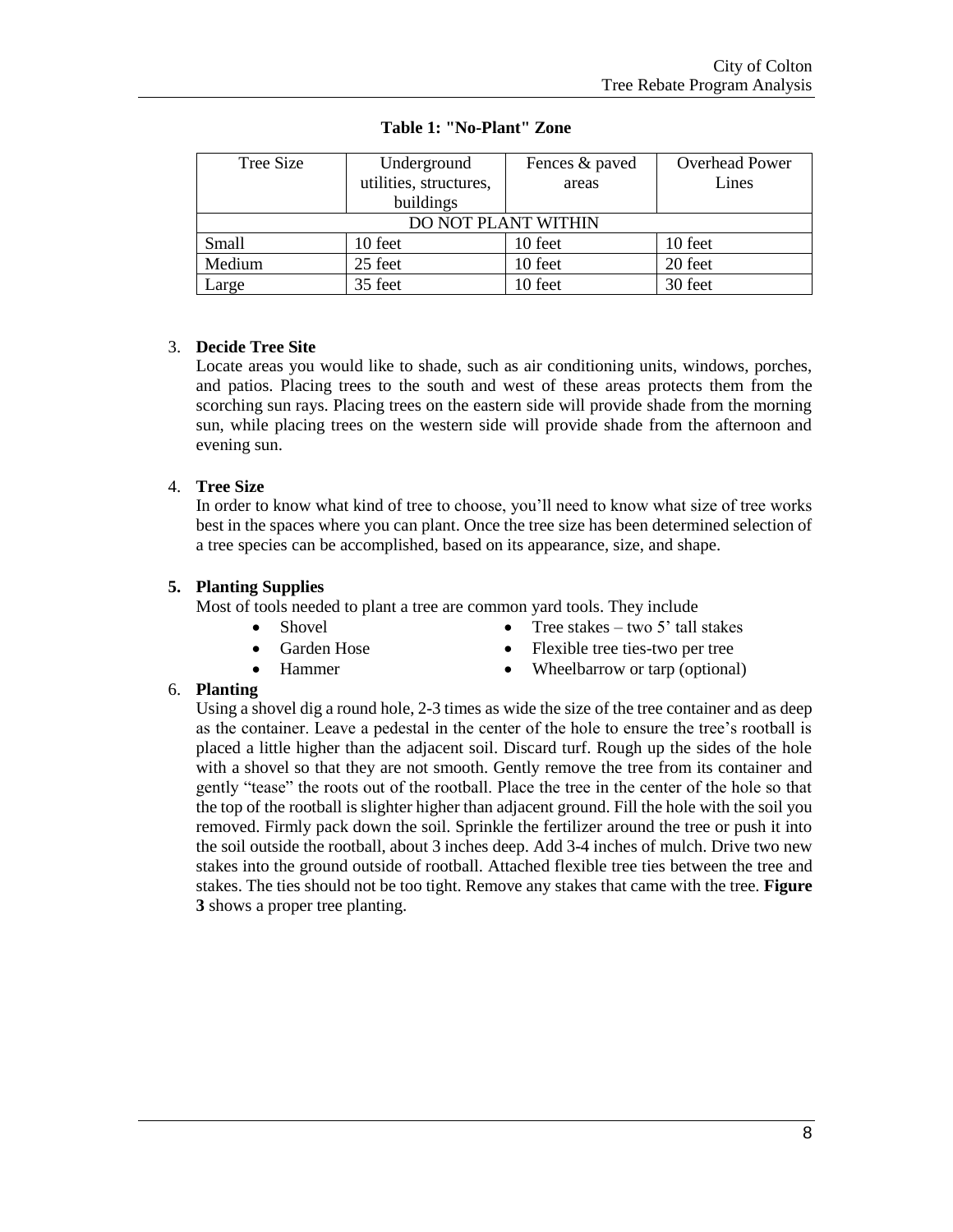| Tree Size | Underground            | Fences & paved | <b>Overhead Power</b> |
|-----------|------------------------|----------------|-----------------------|
|           | utilities, structures, | areas          | Lines                 |
|           | buildings              |                |                       |
|           | DO NOT PLANT WITHIN    |                |                       |
| Small     | 10 feet                | 10 feet        | 10 feet               |
| Medium    | 25 feet                | 10 feet        | 20 feet               |
| Large     | 35 feet                | 10 feet        | 30 feet               |

#### **Table 1: "No-Plant" Zone**

#### 3. **Decide Tree Site**

Locate areas you would like to shade, such as air conditioning units, windows, porches, and patios. Placing trees to the south and west of these areas protects them from the scorching sun rays. Placing trees on the eastern side will provide shade from the morning sun, while placing trees on the western side will provide shade from the afternoon and evening sun.

### 4. **Tree Size**

In order to know what kind of tree to choose, you'll need to know what size of tree works best in the spaces where you can plant. Once the tree size has been determined selection of a tree species can be accomplished, based on its appearance, size, and shape.

#### **5. Planting Supplies**

Most of tools needed to plant a tree are common yard tools. They include

- Shovel
- Garden Hose
- Hammer
- Tree stakes two 5' tall stakes
- Flexible tree ties-two per tree
- Wheelbarrow or tarp (optional)

#### 6. **Planting**

Using a shovel dig a round hole, 2-3 times as wide the size of the tree container and as deep as the container. Leave a pedestal in the center of the hole to ensure the tree's rootball is placed a little higher than the adjacent soil. Discard turf. Rough up the sides of the hole with a shovel so that they are not smooth. Gently remove the tree from its container and gently "tease" the roots out of the rootball. Place the tree in the center of the hole so that the top of the rootball is slighter higher than adjacent ground. Fill the hole with the soil you removed. Firmly pack down the soil. Sprinkle the fertilizer around the tree or push it into the soil outside the rootball, about 3 inches deep. Add 3-4 inches of mulch. Drive two new stakes into the ground outside of rootball. Attached flexible tree ties between the tree and stakes. The ties should not be too tight. Remove any stakes that came with the tree. **Figure 3** shows a proper tree planting.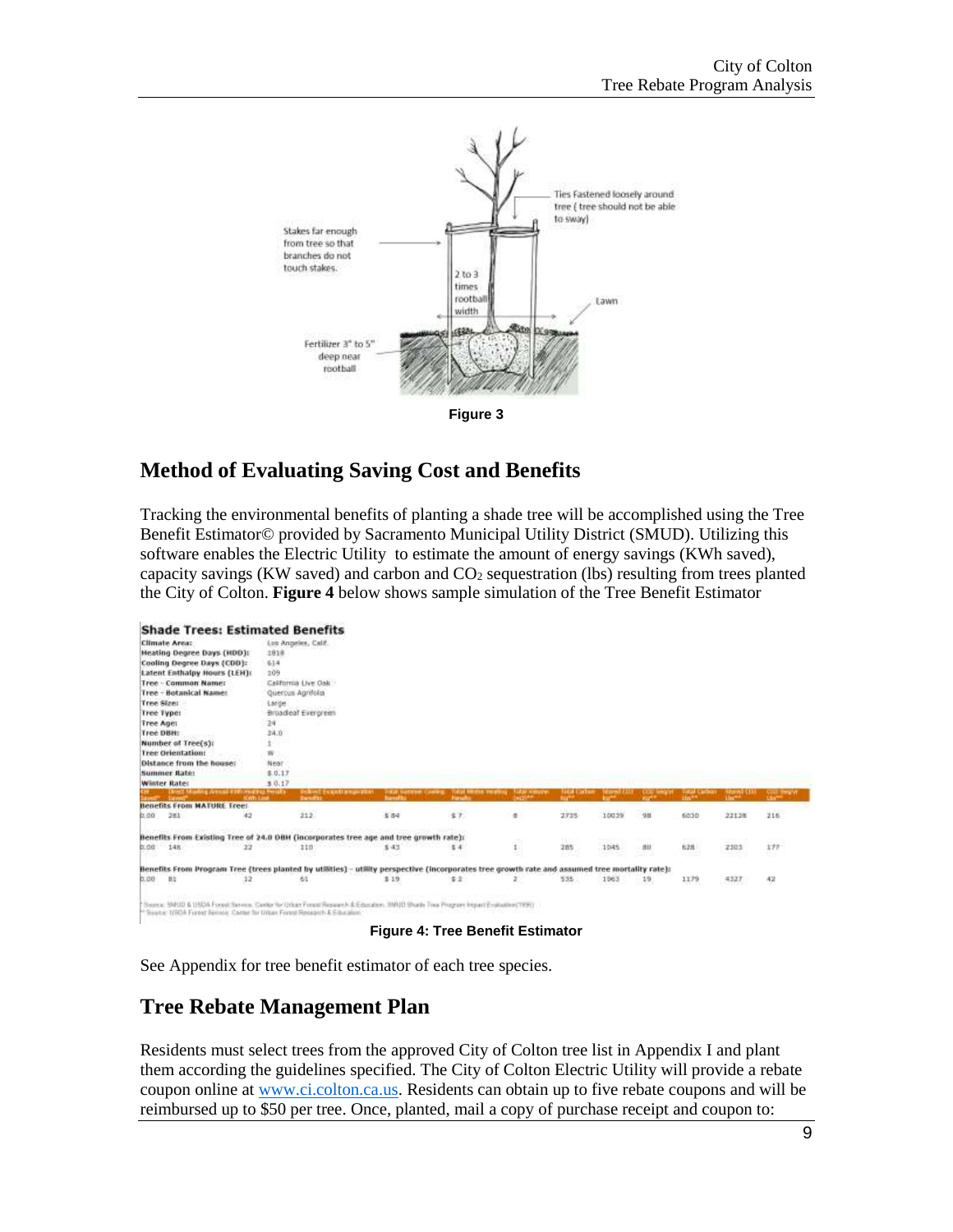

## **Method of Evaluating Saving Cost and Benefits**

Tracking the environmental benefits of planting a shade tree will be accomplished using the Tree Benefit Estimator© provided by Sacramento Municipal Utility District (SMUD). Utilizing this software enables the Electric Utility to estimate the amount of energy savings (KWh saved), capacity savings (KW saved) and carbon and  $CO<sub>2</sub>$  sequestration (lbs) resulting from trees planted the City of Colton. **Figure 4** below shows sample simulation of the Tree Benefit Estimator

|            |                                            |              | <b>Shade Trees: Estimated Benefits</b>                                      |                                                                                                                                                |               |                                      |                                 |       |             |                    |              |            |
|------------|--------------------------------------------|--------------|-----------------------------------------------------------------------------|------------------------------------------------------------------------------------------------------------------------------------------------|---------------|--------------------------------------|---------------------------------|-------|-------------|--------------------|--------------|------------|
|            | <b>Climate Area:</b>                       |              | Los Angeles, Calif.                                                         |                                                                                                                                                |               |                                      |                                 |       |             |                    |              |            |
|            | Heating Degree Days (HDD):                 |              | 1818                                                                        |                                                                                                                                                |               |                                      |                                 |       |             |                    |              |            |
|            | Cooling Degree Days (CDD):                 |              | 614                                                                         |                                                                                                                                                |               |                                      |                                 |       |             |                    |              |            |
|            | Latent Enthalpy Hours (LEH):               |              | 109                                                                         |                                                                                                                                                |               |                                      |                                 |       |             |                    |              |            |
|            | <b>Tree - Common Name:</b>                 |              | California Live Oak                                                         |                                                                                                                                                |               |                                      |                                 |       |             |                    |              |            |
|            | Tree - Botanical Name:                     |              | Quercus Agrifolia                                                           |                                                                                                                                                |               |                                      |                                 |       |             |                    |              |            |
| Tree Size: |                                            |              | Large                                                                       |                                                                                                                                                |               |                                      |                                 |       |             |                    |              |            |
|            | Tree Types                                 |              | Broadleaf Evergrees                                                         |                                                                                                                                                |               |                                      |                                 |       |             |                    |              |            |
| Tree Ages  |                                            |              | 24                                                                          |                                                                                                                                                |               |                                      |                                 |       |             |                    |              |            |
| Tree DBH:  |                                            |              | 24.0                                                                        |                                                                                                                                                |               |                                      |                                 |       |             |                    |              |            |
|            | Number of Tree(s):                         |              |                                                                             |                                                                                                                                                |               |                                      |                                 |       |             |                    |              |            |
|            | <b>Tree Orientation:</b>                   |              | w                                                                           |                                                                                                                                                |               |                                      |                                 |       |             |                    |              |            |
|            | Distance from the house:                   |              | Near                                                                        |                                                                                                                                                |               |                                      |                                 |       |             |                    |              |            |
|            | <b>Summer Bate:</b>                        |              | \$0.17                                                                      |                                                                                                                                                |               |                                      |                                 |       |             |                    |              |            |
|            | <b>Winter Rates</b>                        |              | 3.0.17                                                                      |                                                                                                                                                |               |                                      |                                 |       |             |                    |              |            |
|            | Direct Musling Avenue Kith moders Penalty. | <b>KWILL</b> | <b>Delived</b> Franklin success                                             |                                                                                                                                                | <b>Force!</b> | <b>TODAY NUMBER</b><br><b>CHOTH!</b> | <b>CONTRACTOR</b><br><b>KOP</b> |       |             | Hart <sup>ed</sup> |              |            |
|            | <b>Benefits From MATURE Treet</b>          |              |                                                                             |                                                                                                                                                |               |                                      |                                 |       |             |                    |              |            |
| 00.0       | 261                                        | 42           | 212                                                                         | \$84                                                                                                                                           | 57            | ٠                                    | 2735                            | 10039 | 98          | 6030               | 22138        | 216        |
|            |                                            |              |                                                                             | Benefits From Existing Tree of 24.0 DBH (incorporates tree age and tree growth rate):                                                          |               |                                      | 33.52                           | 93870 |             | OVED               | en ar        |            |
|            | $0.00 - 148$<br><b>COMPOS</b>              | PURCHER 19   | 110                                                                         | \$43<br>---                                                                                                                                    | 54            | $\mathbf{i}$                         | 285<br>53                       | 1045  | BII<br>98 M | 528                | 2303<br>7:62 | 177<br>255 |
|            |                                            |              |                                                                             | Benefits From Program Tree (trees planted by utilities) - utility perspective (incorporates tree growth rate and assumed tree mortality rate): |               |                                      |                                 |       |             |                    |              |            |
| 0.00 81    |                                            | 12           | 61                                                                          | \$19                                                                                                                                           | 5.2           |                                      | 535                             | 1963  | 19          | 1179               | 4327         | 42         |
|            |                                            |              | ** Source: USDA Forest Renoir, Carler for Urban Forest Research & Silvation | Steppen: 5940D & USDA Forest Serves, Center for Urban Forest Research & Education, 1990D Shade Tree Program Inspect Enablement Phino           |               |                                      |                                 |       |             |                    |              |            |
|            |                                            |              |                                                                             |                                                                                                                                                |               | <b>Communication</b>                 |                                 |       |             |                    |              |            |

#### **Figure 4: Tree Benefit Estimator**

See Appendix for tree benefit estimator of each tree species.

## **Tree Rebate Management Plan**

Residents must select trees from the approved City of Colton tree list in Appendix I and plant them according the guidelines specified. The City of Colton Electric Utility will provide a rebate coupon online at [www.ci.colton.ca.us.](http://www.ci.colton.ca.us/) Residents can obtain up to five rebate coupons and will be reimbursed up to \$50 per tree. Once, planted, mail a copy of purchase receipt and coupon to: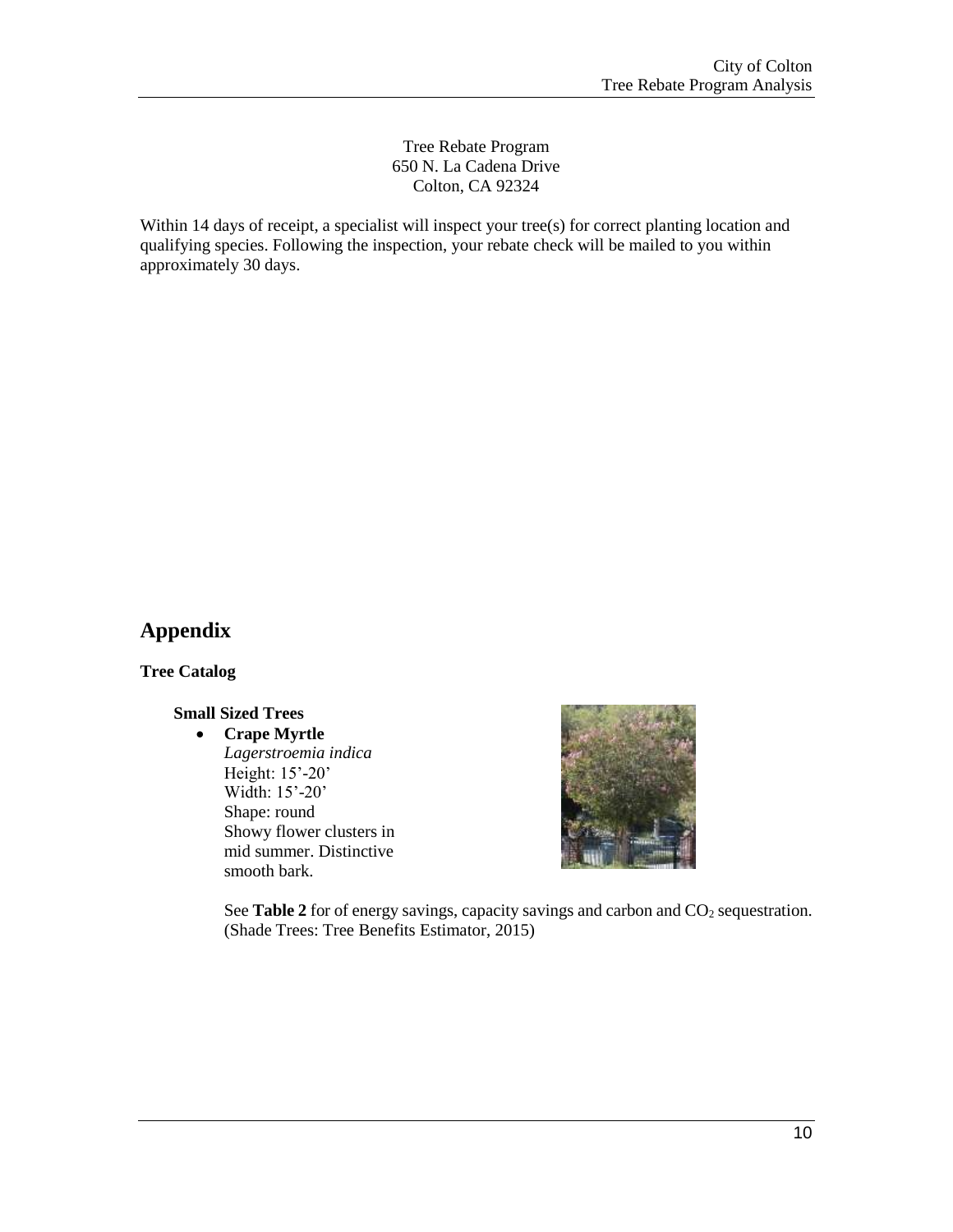#### Tree Rebate Program 650 N. La Cadena Drive Colton, CA 92324

Within 14 days of receipt, a specialist will inspect your tree(s) for correct planting location and qualifying species. Following the inspection, your rebate check will be mailed to you within approximately 30 days.

## **Appendix**

**Tree Catalog**

#### **Small Sized Trees**

#### **Crape Myrtle**

*Lagerstroemia indica* Height: 15'-20' Width: 15'-20' Shape: round Showy flower clusters in mid summer. Distinctive smooth bark.



See **Table 2** for of energy savings, capacity savings and carbon and CO<sub>2</sub> sequestration. (Shade Trees: Tree Benefits Estimator, 2015)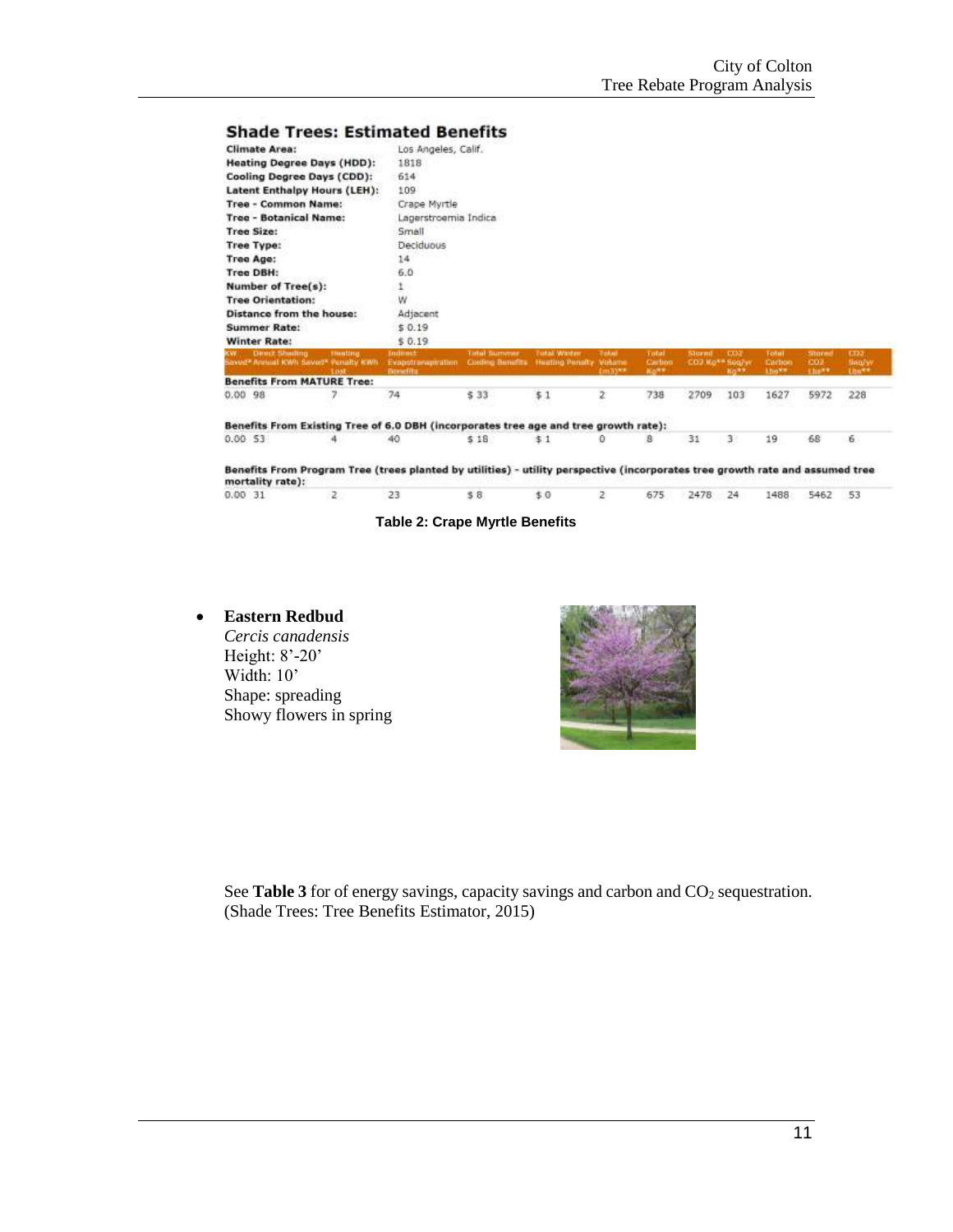#### **Shade Trees: Estimated Benefits**

| <b>Climate Area:</b>                                                                 | Los Angeles, Calif.                               |                                                 |                                               |                                   |                                           |                          |                           |                                           |                                                  |                                     |
|--------------------------------------------------------------------------------------|---------------------------------------------------|-------------------------------------------------|-----------------------------------------------|-----------------------------------|-------------------------------------------|--------------------------|---------------------------|-------------------------------------------|--------------------------------------------------|-------------------------------------|
| <b>Heating Degree Days (HDD):</b>                                                    | 1818                                              |                                                 |                                               |                                   |                                           |                          |                           |                                           |                                                  |                                     |
| Cooling Degree Days (CDD):                                                           | 614                                               |                                                 |                                               |                                   |                                           |                          |                           |                                           |                                                  |                                     |
| Latent Enthalpy Hours (LEH):                                                         | 109                                               |                                                 |                                               |                                   |                                           |                          |                           |                                           |                                                  |                                     |
| <b>Tree - Common Name:</b>                                                           | Crape Myrtle                                      |                                                 |                                               |                                   |                                           |                          |                           |                                           |                                                  |                                     |
| <b>Tree - Botanical Name:</b>                                                        | Lagerstroemia Indica                              |                                                 |                                               |                                   |                                           |                          |                           |                                           |                                                  |                                     |
| <b>Tree Size:</b>                                                                    | Small                                             |                                                 |                                               |                                   |                                           |                          |                           |                                           |                                                  |                                     |
| <b>Tree Type:</b>                                                                    | Deciduous                                         |                                                 |                                               |                                   |                                           |                          |                           |                                           |                                                  |                                     |
| Tree Age:                                                                            | 14                                                |                                                 |                                               |                                   |                                           |                          |                           |                                           |                                                  |                                     |
| Tree DBH:                                                                            | 6.0                                               |                                                 |                                               |                                   |                                           |                          |                           |                                           |                                                  |                                     |
| <b>Number of Tree(s):</b>                                                            | 1.                                                |                                                 |                                               |                                   |                                           |                          |                           |                                           |                                                  |                                     |
| <b>Tree Orientation:</b>                                                             | W                                                 |                                                 |                                               |                                   |                                           |                          |                           |                                           |                                                  |                                     |
| Distance from the house:                                                             | Adjacent                                          |                                                 |                                               |                                   |                                           |                          |                           |                                           |                                                  |                                     |
| <b>Summer Rate:</b>                                                                  | \$0.19                                            |                                                 |                                               |                                   |                                           |                          |                           |                                           |                                                  |                                     |
| <b>Winter Rate:</b>                                                                  | \$0.19                                            |                                                 |                                               |                                   |                                           |                          |                           |                                           |                                                  |                                     |
| Direct Sheding<br><b>Huntma</b><br>sayed* Annual YOWN Saved* Penalty YOWN<br>Loat    | Indirect<br>Evapotronageration<br><b>Bonefits</b> | <b>Total Burnmer</b><br><b>Colling Benefits</b> | <b>Total Winter</b><br><b>Huating Penalty</b> | <b>Total</b><br>Volume<br>(m3) ** | Total<br>Carbon<br><b>Ha<sup>ke</sup></b> | Stormt<br>CO2 Ko** Seg/w | <b>COL</b><br><b>KONY</b> | <b>Total</b><br>Carbon<br><b>Lingwith</b> | <b>Stored</b><br>CO <sub>2</sub><br><b>Links</b> | <b>CD2</b><br><b>Ben/y</b><br>Lhs** |
| <b>Benefits From MATURE Tree:</b>                                                    |                                                   |                                                 |                                               |                                   |                                           |                          |                           |                                           |                                                  |                                     |
| 7<br>0.0098                                                                          | 74                                                | \$33                                            | \$1                                           | ž                                 | 738                                       | 2709                     | 103                       | 1627                                      | 5972                                             | 228                                 |
| Benefits From Existing Tree of 6.0 DBH (incorporates tree age and tree growth rate): |                                                   |                                                 |                                               |                                   |                                           |                          |                           |                                           |                                                  |                                     |
| 0.0053                                                                               | 40                                                | 5.18                                            | \$1                                           | o                                 | 8                                         | 31                       | 31                        | 19                                        | 68                                               | 6                                   |

Benefits From Program Tree (trees planted by utilities) - utility perspective (incorporates tree growth rate and assumed tree mortality rate):

| 0.00 31 2 23 \$8 \$0 2 675 2478 24 1488 5462 53 |  |  |  |  |  |  |
|-------------------------------------------------|--|--|--|--|--|--|
|                                                 |  |  |  |  |  |  |

**Table 2: Crape Myrtle Benefits**

#### **Eastern Redbud**

*Cercis canadensis* Height: 8'-20' Width: 10' Shape: spreading Showy flowers in spring

See **Table 3** for of energy savings, capacity savings and carbon and CO<sub>2</sub> sequestration. (Shade Trees: Tree Benefits Estimator, 2015)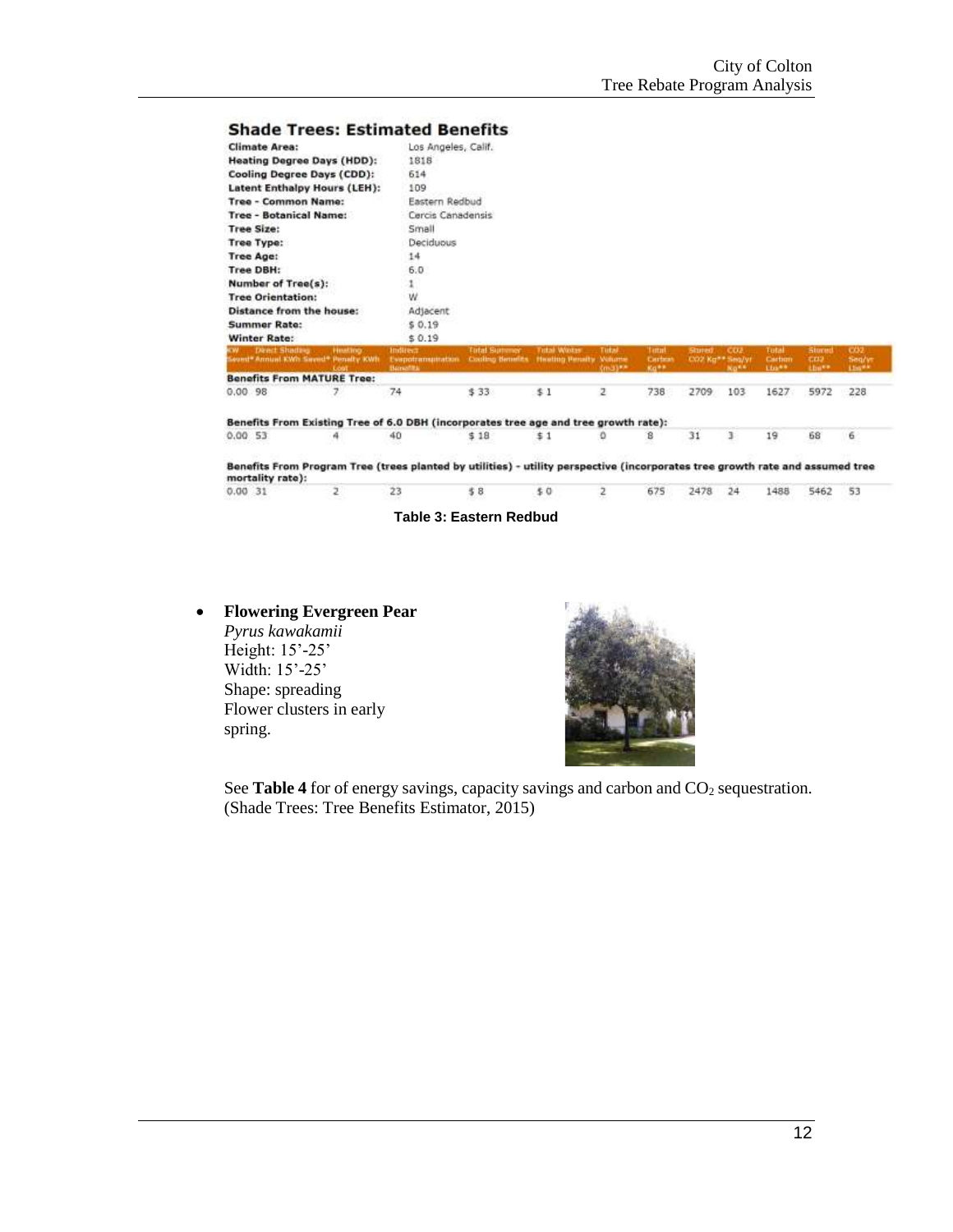$31$ 

 $\,$   $\,$ 

19

68

### **Shade Trees: Estimated Benefits**

| <b>Climate Area:</b>                                               | Los Angeles, Calif.                            |                                                |                                              |                     |                           |                                  |                         |                           |                                                 |                         |
|--------------------------------------------------------------------|------------------------------------------------|------------------------------------------------|----------------------------------------------|---------------------|---------------------------|----------------------------------|-------------------------|---------------------------|-------------------------------------------------|-------------------------|
| <b>Heating Degree Days (HDD):</b>                                  | 1818                                           |                                                |                                              |                     |                           |                                  |                         |                           |                                                 |                         |
| Cooling Degree Days (CDD):                                         | 614                                            |                                                |                                              |                     |                           |                                  |                         |                           |                                                 |                         |
| <b>Latent Enthalpy Hours (LEH):</b>                                | 109                                            |                                                |                                              |                     |                           |                                  |                         |                           |                                                 |                         |
| <b>Tree - Common Name:</b>                                         | Eastern Redbud                                 |                                                |                                              |                     |                           |                                  |                         |                           |                                                 |                         |
| <b>Tree - Botanical Name:</b>                                      | Cercis Canadensis                              |                                                |                                              |                     |                           |                                  |                         |                           |                                                 |                         |
| Tree Size:                                                         | Small                                          |                                                |                                              |                     |                           |                                  |                         |                           |                                                 |                         |
| Tree Type:                                                         | Deciduous                                      |                                                |                                              |                     |                           |                                  |                         |                           |                                                 |                         |
| <b>Tree Age:</b>                                                   | 14                                             |                                                |                                              |                     |                           |                                  |                         |                           |                                                 |                         |
| Tree DBH:                                                          | 6.0                                            |                                                |                                              |                     |                           |                                  |                         |                           |                                                 |                         |
| <b>Number of Tree(s):</b>                                          |                                                |                                                |                                              |                     |                           |                                  |                         |                           |                                                 |                         |
| <b>Tree Orientation:</b>                                           | Ŵ                                              |                                                |                                              |                     |                           |                                  |                         |                           |                                                 |                         |
| <b>Distance from the house:</b>                                    | Adjacent                                       |                                                |                                              |                     |                           |                                  |                         |                           |                                                 |                         |
| <b>Summer Rate:</b>                                                | \$0.19                                         |                                                |                                              |                     |                           |                                  |                         |                           |                                                 |                         |
| <b>Winter Rate:</b>                                                | \$0.19                                         |                                                |                                              |                     |                           |                                  |                         |                           |                                                 |                         |
| Deed Shading.<br>Histing.<br>levest* Annual KWh Saved* Penalty KWh | Indirect.<br>Evapotramuntation<br>Barsellita - | <b>Tutat Summer</b><br><b>Cooling Benefits</b> | <b>Tital Wints</b><br>Heating Penalty Volume | Tutal<br>$30.33***$ | Tattail<br>Carbos<br>Ka** | <b>Scoved</b><br>CO2 Kg** Seq/Vf | cu.<br>No <sup>x4</sup> | Total<br>Carbon<br>Link** | Stores<br>CD <sub>2</sub><br>Link <sup>es</sup> | 002<br>Seq/yr<br>Link** |
| <b>Benefits From MATURE Tree:</b>                                  |                                                |                                                |                                              |                     |                           |                                  |                         |                           |                                                 |                         |
| 0.00.98<br>7                                                       | 74                                             | \$33                                           | \$1                                          | z                   | 738                       | 2709                             | 103                     | 1627                      | 5972                                            | 228                     |

Benefits From Existing Tree of 6.0 DBH (incorporates tree age and tree growth rate):  $0.0053$ 40  $$18$ o  $\mathsf B$  $\ddot{}$  $$1$ 

 $\overline{\bf{6}}$ Benefits From Program Tree (trees planted by utilities) - utility perspective (incorporates tree growth rate and assumed tree

mortality rate):  $\overline{z}$ 23  $$8$  $$0$  $\overline{\mathsf{z}}$  $0.0031$ 675 2478  $24$ 1488 5462 53

**Table 3: Eastern Redbud**

 **Flowering Evergreen Pear** *Pyrus kawakamii* Height: 15'-25' Width: 15'-25' Shape: spreading Flower clusters in early

spring.

See **Table 4** for of energy savings, capacity savings and carbon and CO<sub>2</sub> sequestration. (Shade Trees: Tree Benefits Estimator, 2015)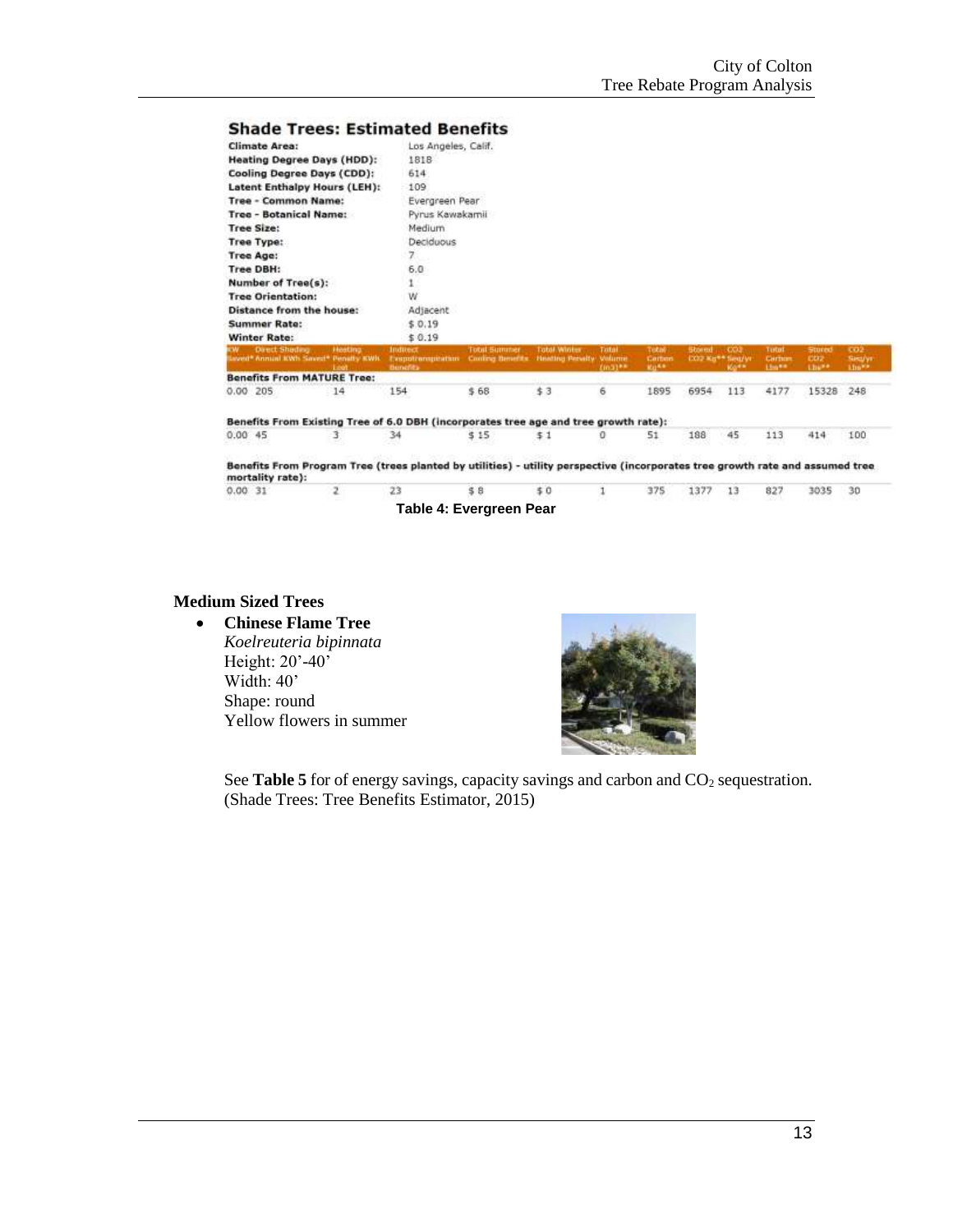#### **Shade Trees: Estimated Benefits**

| <b>Climate Area:</b>                                                                                                                                                                                                                                                |                 |                                                          |                                                        |          |                  |               |                                         |                   |                      |                       |
|---------------------------------------------------------------------------------------------------------------------------------------------------------------------------------------------------------------------------------------------------------------------|-----------------|----------------------------------------------------------|--------------------------------------------------------|----------|------------------|---------------|-----------------------------------------|-------------------|----------------------|-----------------------|
|                                                                                                                                                                                                                                                                     |                 | Los Angeles, Calif.                                      |                                                        |          |                  |               |                                         |                   |                      |                       |
| <b>Heating Degree Days (HDD):</b>                                                                                                                                                                                                                                   | 1818            |                                                          |                                                        |          |                  |               |                                         |                   |                      |                       |
| Cooling Degree Days (CDD):                                                                                                                                                                                                                                          | 614             |                                                          |                                                        |          |                  |               |                                         |                   |                      |                       |
| Latent Enthalpy Hours (LEH):                                                                                                                                                                                                                                        | 109             |                                                          |                                                        |          |                  |               |                                         |                   |                      |                       |
| <b>Tree - Common Name:</b>                                                                                                                                                                                                                                          | Evergreen Pear  |                                                          |                                                        |          |                  |               |                                         |                   |                      |                       |
| <b>Tree - Botanical Name:</b>                                                                                                                                                                                                                                       | Pyrus Kawakamii |                                                          |                                                        |          |                  |               |                                         |                   |                      |                       |
| <b>Tree Size:</b>                                                                                                                                                                                                                                                   | Medium          |                                                          |                                                        |          |                  |               |                                         |                   |                      |                       |
| <b>Tree Type:</b>                                                                                                                                                                                                                                                   | Deciduous       |                                                          |                                                        |          |                  |               |                                         |                   |                      |                       |
| <b>Tree Age:</b>                                                                                                                                                                                                                                                    | 7.1             |                                                          |                                                        |          |                  |               |                                         |                   |                      |                       |
| <b>Tree DBH:</b>                                                                                                                                                                                                                                                    | 6.0             |                                                          |                                                        |          |                  |               |                                         |                   |                      |                       |
| Number of Tree(s):                                                                                                                                                                                                                                                  |                 |                                                          |                                                        |          |                  |               |                                         |                   |                      |                       |
|                                                                                                                                                                                                                                                                     |                 |                                                          |                                                        |          |                  |               |                                         |                   |                      |                       |
|                                                                                                                                                                                                                                                                     | w               |                                                          |                                                        |          |                  |               |                                         |                   |                      |                       |
|                                                                                                                                                                                                                                                                     | Adjacent        |                                                          |                                                        |          |                  |               |                                         |                   |                      |                       |
|                                                                                                                                                                                                                                                                     | \$0.19          |                                                          |                                                        |          |                  |               |                                         |                   |                      |                       |
|                                                                                                                                                                                                                                                                     | \$0.19          |                                                          |                                                        |          |                  |               |                                         |                   |                      |                       |
| <b>Overt Shadaw</b><br>-Heating<br>aved* Annual KWh Saved* Penalty KWh                                                                                                                                                                                              | <b>Indused</b>  | <b>Total Summer</b><br>Eventrangulation Conting Benefits | <b>Total Winter</b><br><b>Heating Benalty</b> , Valume | Total    | Total<br>Carbon  | <b>Shared</b> | CO2<br>EXXII Mar <sup>men</sup> Seed/Mr | Testat<br>Certain | Stored<br><b>CO2</b> | CO2                   |
|                                                                                                                                                                                                                                                                     | <b>Bunefits</b> |                                                          |                                                        | $Unij**$ | Ku <sup>Ka</sup> |               | Kig 4*                                  | Limits:           | the**                | Lin <sup>wa</sup>     |
| 14                                                                                                                                                                                                                                                                  | 154             | \$68                                                     | \$3                                                    | 6        | 1895             | 6954          | 113                                     | 4177              | 15328                | <b>Similyi</b><br>248 |
|                                                                                                                                                                                                                                                                     |                 |                                                          |                                                        |          |                  |               |                                         |                   |                      |                       |
| <b>Tree Orientation:</b><br><b>Distance from the house:</b><br><b>Summer Rate:</b><br><b>Winter Rate:</b><br><b>Benefits From MATURE Tree:</b><br>$0.00$ 205<br>Benefits From Existing Tree of 6.0 DBH (incorporates tree age and tree growth rate):<br>0.0045<br>3 | 34              | \$15                                                     | 51                                                     | o        | 51               | 188           | 45                                      | 113               | 414                  | 100                   |

 $$0$ 

**Medium Sized Trees**

 $0.0031$ 

 **Chinese Flame Tree** *Koelreuteria bipinnata*

Height: 20'-40' Width: 40' Shape: round Yellow flowers in summer

 $\mathbf{2}$ 

 $23$ 



375

 $\mathbf{1}$ 

1377 13

827

3035  $30$ 

See **Table 5** for of energy savings, capacity savings and carbon and CO<sub>2</sub> sequestration. (Shade Trees: Tree Benefits Estimator, 2015)

**Table 4: Evergreen Pear**

 $\$$  8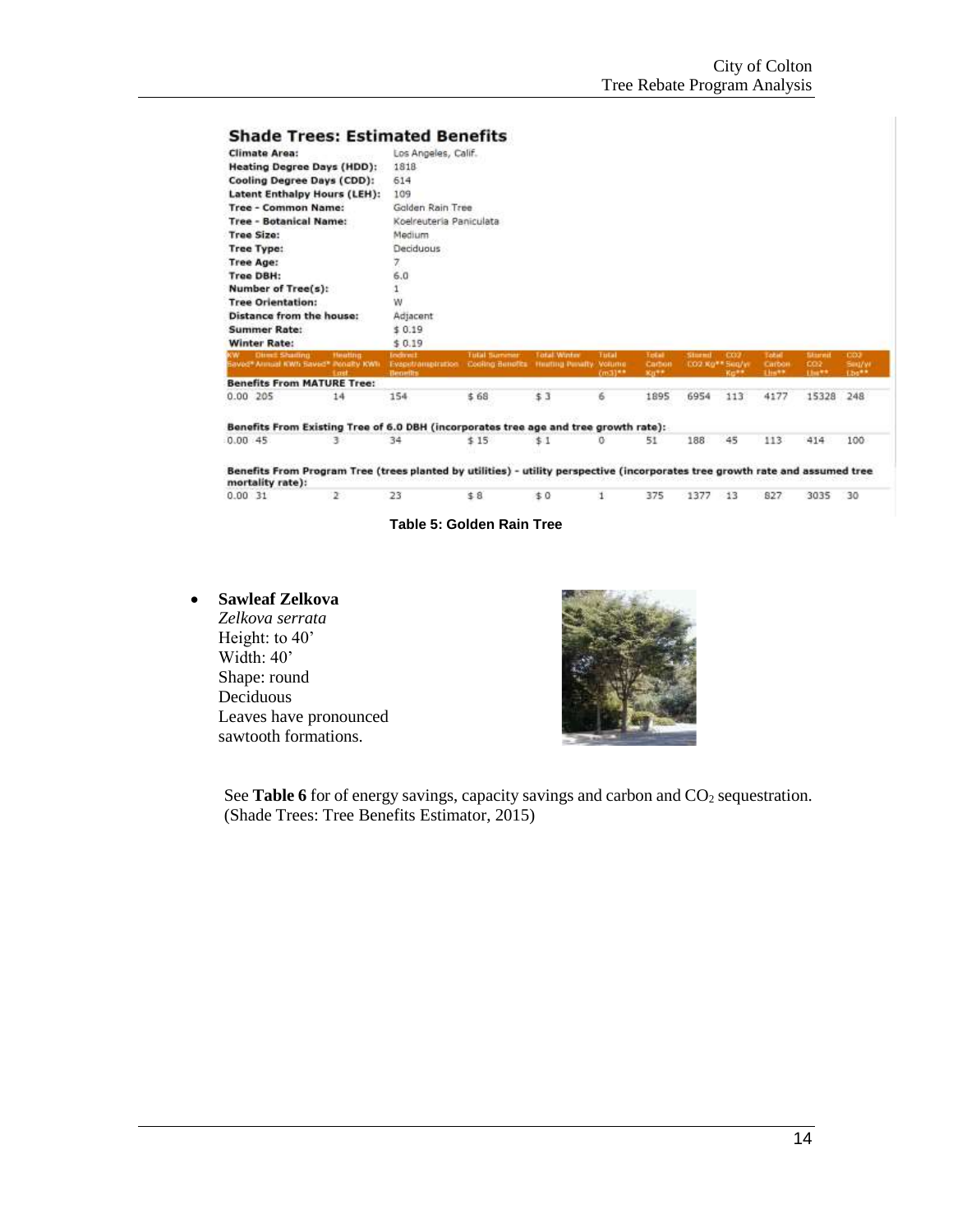|                                                                                                                                                    |                | <b>Shade Trees: Estimated Benefits</b> |                                         |                    |              |              |                 |      |                 |        |                 |
|----------------------------------------------------------------------------------------------------------------------------------------------------|----------------|----------------------------------------|-----------------------------------------|--------------------|--------------|--------------|-----------------|------|-----------------|--------|-----------------|
| <b>Climate Area:</b>                                                                                                                               |                | Los Angeles, Calif.                    |                                         |                    |              |              |                 |      |                 |        |                 |
| <b>Heating Degree Days (HDD):</b>                                                                                                                  |                | 1818                                   |                                         |                    |              |              |                 |      |                 |        |                 |
| Cooling Degree Days (CDD):                                                                                                                         |                | 614                                    |                                         |                    |              |              |                 |      |                 |        |                 |
| <b>Latent Enthalpy Hours (LEH):</b>                                                                                                                |                | 109                                    |                                         |                    |              |              |                 |      |                 |        |                 |
| <b>Tree - Common Name:</b>                                                                                                                         |                | Golden Rain Tree                       |                                         |                    |              |              |                 |      |                 |        |                 |
| <b>Tree - Botanical Name:</b>                                                                                                                      |                | Koelreuteria Paniculata                |                                         |                    |              |              |                 |      |                 |        |                 |
| Tree Size:                                                                                                                                         |                | Medium                                 |                                         |                    |              |              |                 |      |                 |        |                 |
| <b>Tree Type:</b>                                                                                                                                  |                | Deciduous                              |                                         |                    |              |              |                 |      |                 |        |                 |
| <b>Tree Age:</b>                                                                                                                                   |                | 7                                      |                                         |                    |              |              |                 |      |                 |        |                 |
| Tree DBH:                                                                                                                                          |                | 6,0                                    |                                         |                    |              |              |                 |      |                 |        |                 |
| Number of Tree(s):                                                                                                                                 |                |                                        |                                         |                    |              |              |                 |      |                 |        |                 |
| <b>Tree Orientation:</b>                                                                                                                           |                | w                                      |                                         |                    |              |              |                 |      |                 |        |                 |
| Distance from the house:                                                                                                                           |                | Adjacent                               |                                         |                    |              |              |                 |      |                 |        |                 |
|                                                                                                                                                    |                |                                        |                                         |                    |              |              |                 |      |                 |        |                 |
|                                                                                                                                                    |                | \$0.19                                 |                                         |                    |              |              |                 |      |                 |        |                 |
|                                                                                                                                                    |                | \$0.19                                 |                                         |                    |              |              |                 |      |                 |        |                 |
| <b>Summer Rate:</b><br><b>Winter Rate:</b><br><b>Direct Shading</b>                                                                                | <b>Heating</b> | Indirect                               | <b>Tutal Surnamer</b>                   | <b>Total Works</b> | <b>Tutal</b> | <b>Telat</b> | <b>Stored</b>   | CO2  | <b>Tabel</b>    | Starna | CO <sub>2</sub> |
| avect Annual KWS Savect Penalty KWS                                                                                                                | Last           | Evaput/amptration                      | Cooking Benofits Heating Penalty Volume |                    |              | Carbon       | EO2 Kg** Seg/in |      | Carbon<br>List? | 002    | <b>Sint/W</b>   |
|                                                                                                                                                    |                | <b>Benefits</b>                        |                                         |                    | $(m3)$ **    | $x_0 +$      |                 | Ko** |                 | Link** | Lbs**           |
|                                                                                                                                                    | 14             | 154                                    | \$68                                    | \$3                | 6            | 1895         | 6954            | 113  | 4177            | 15328  | 248             |
|                                                                                                                                                    |                |                                        |                                         |                    |              |              |                 |      |                 |        |                 |
| <b>Benefits From MATURE Tree:</b><br>$0.00$ 205<br>Benefits From Existing Tree of 6.0 DBH (incorporates tree age and tree growth rate):<br>0.00.45 | 3              | 34                                     | \$15                                    | \$1                | G            | 51           | 188             | 45   | 113             | 414    | 100             |
| Benefits From Program Tree (trees planted by utilities) - utility perspective (incorporates tree growth rate and assumed tree<br>mortality rate):  |                |                                        |                                         |                    |              |              |                 |      |                 |        |                 |

**Table 5: Golden Rain Tree**

#### **Sawleaf Zelkova**

*Zelkova serrata* Height: to 40' Width: 40' Shape: round Deciduous Leaves have pronounced sawtooth formations.



See **Table 6** for of energy savings, capacity savings and carbon and CO<sub>2</sub> sequestration. (Shade Trees: Tree Benefits Estimator, 2015)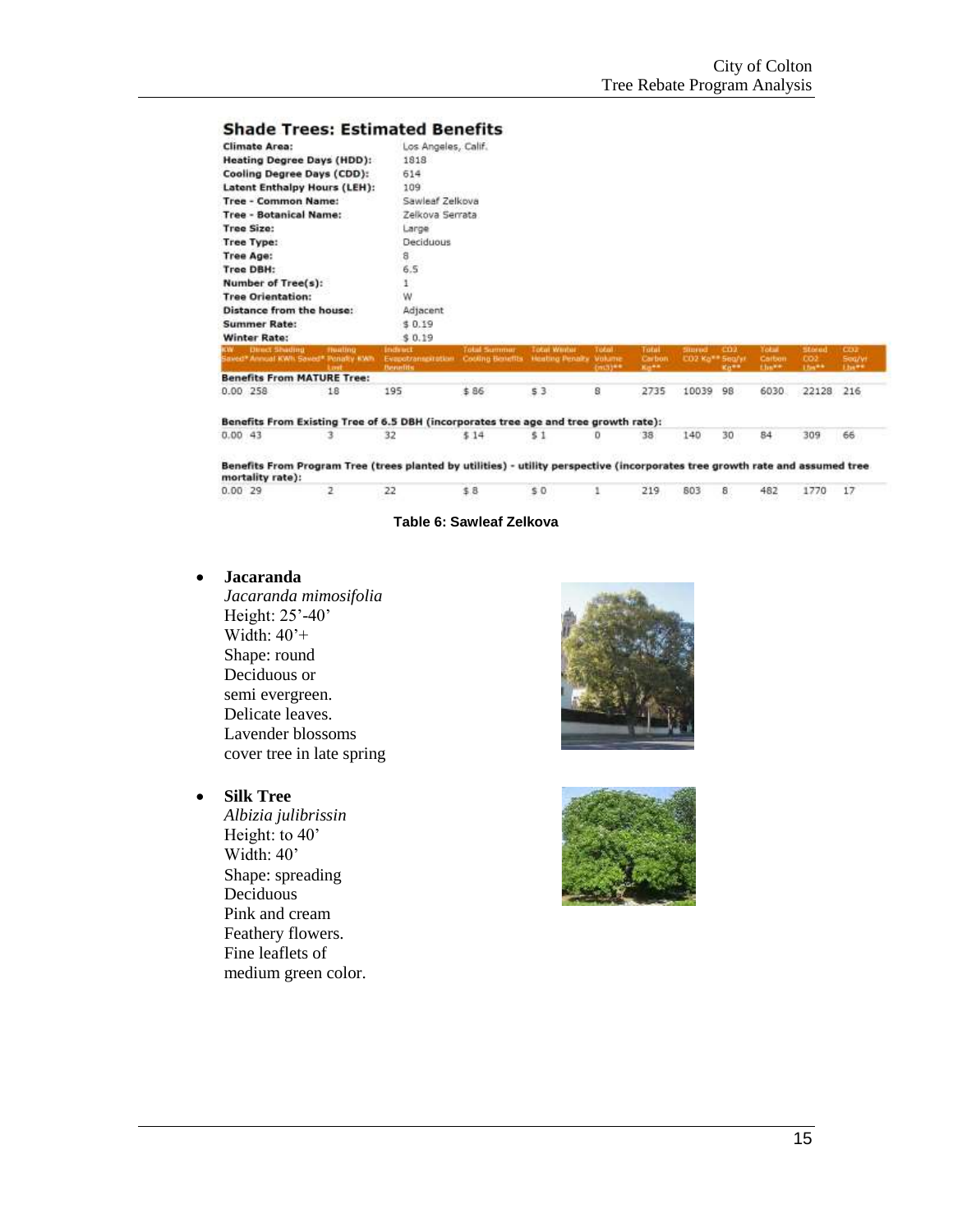#### **Shade Trees: Estimated Benefits**

| <b>Climate Area:</b>                                                               | Los Angeles, Calif.                                                                              |                     |                     |                          |                                        |                                               |                          |                           |                                |                          |
|------------------------------------------------------------------------------------|--------------------------------------------------------------------------------------------------|---------------------|---------------------|--------------------------|----------------------------------------|-----------------------------------------------|--------------------------|---------------------------|--------------------------------|--------------------------|
| <b>Heating Degree Days (HDD):</b>                                                  | 1818                                                                                             |                     |                     |                          |                                        |                                               |                          |                           |                                |                          |
| <b>Cooling Degree Days (CDD):</b>                                                  | 614                                                                                              |                     |                     |                          |                                        |                                               |                          |                           |                                |                          |
| <b>Latent Enthalpy Hours (LEH):</b>                                                | 109                                                                                              |                     |                     |                          |                                        |                                               |                          |                           |                                |                          |
| <b>Tree - Common Name:</b>                                                         | Sawleaf Zelkova                                                                                  |                     |                     |                          |                                        |                                               |                          |                           |                                |                          |
| <b>Tree - Botanical Name:</b>                                                      | Zelkova Serrata                                                                                  |                     |                     |                          |                                        |                                               |                          |                           |                                |                          |
| <b>Tree Size:</b>                                                                  | Large                                                                                            |                     |                     |                          |                                        |                                               |                          |                           |                                |                          |
| Tree Type:                                                                         | Deciduous                                                                                        |                     |                     |                          |                                        |                                               |                          |                           |                                |                          |
| <b>Tree Age:</b>                                                                   | 8                                                                                                |                     |                     |                          |                                        |                                               |                          |                           |                                |                          |
| <b>Tree DBH:</b>                                                                   | 6.5                                                                                              |                     |                     |                          |                                        |                                               |                          |                           |                                |                          |
| Number of Tree(s):                                                                 | ı                                                                                                |                     |                     |                          |                                        |                                               |                          |                           |                                |                          |
| <b>Tree Orientation:</b>                                                           | w                                                                                                |                     |                     |                          |                                        |                                               |                          |                           |                                |                          |
| Distance from the house:                                                           | Adjacent                                                                                         |                     |                     |                          |                                        |                                               |                          |                           |                                |                          |
| <b>Summer Rate:</b>                                                                | \$0.19                                                                                           |                     |                     |                          |                                        |                                               |                          |                           |                                |                          |
| <b>Winter Rate:</b>                                                                | \$0.19                                                                                           |                     |                     |                          |                                        |                                               |                          |                           |                                |                          |
| <b>Direct Shading</b><br><b>Thurling.</b><br>Saved* Annual KWI: Saved* Penatry KWI | <b>Indirect</b><br>Evapotranspiration Couling Benefits Heating Penalty Volume<br><b>Benefits</b> | <b>Total Summer</b> | <b>Total Winter</b> | <b>Total</b><br>(mill)** | <b>Total</b><br>Carbon<br><b>No.++</b> | Sittered<br><b>CO2 Ko<sup>++</sup> Sea/xi</b> | CD <sub>2</sub><br>Kit** | Yotat<br>Calbon<br>there. | <b>Stored</b><br>-002<br>15s** | CD2<br>Seg/yr<br>1 haven |
| <b>Benefits From MATURE Tree:</b>                                                  |                                                                                                  |                     |                     |                          |                                        |                                               |                          |                           |                                |                          |
| 0.00 258<br>18                                                                     | 195                                                                                              | \$86                | 53                  | 8                        | 2735                                   | 10039                                         | 98                       | 6030                      | 22128                          | 216                      |

Benefits From Existing Tree of 6.5 DBH (incorporates tree age and tree growth rate):  $0.0043$ 3 32  $$14$  $$1$  $\mathsf D$ 38 140 30 84

Benefits From Program Tree (trees planted by utilities) - utility perspective (incorporates tree growth rate and assumed tree mortality rate):  $0.0029$  $\overline{2}$  $22$ \$8  $$0$  $\mathbf 1$ 219 803  $\overline{\mathbf{8}}$ 482 1770  $17$ 

#### **Table 6: Sawleaf Zelkova**

#### **Jacaranda**

*Jacaranda mimosifolia* Height: 25'-40' Width: 40'+ Shape: round Deciduous or semi evergreen. Delicate leaves. Lavender blossoms cover tree in late spring

## **Silk Tree**

*Albizia julibrissin* Height: to 40' Width: 40' Shape: spreading Deciduous Pink and cream Feathery flowers. Fine leaflets of medium green color.





309

66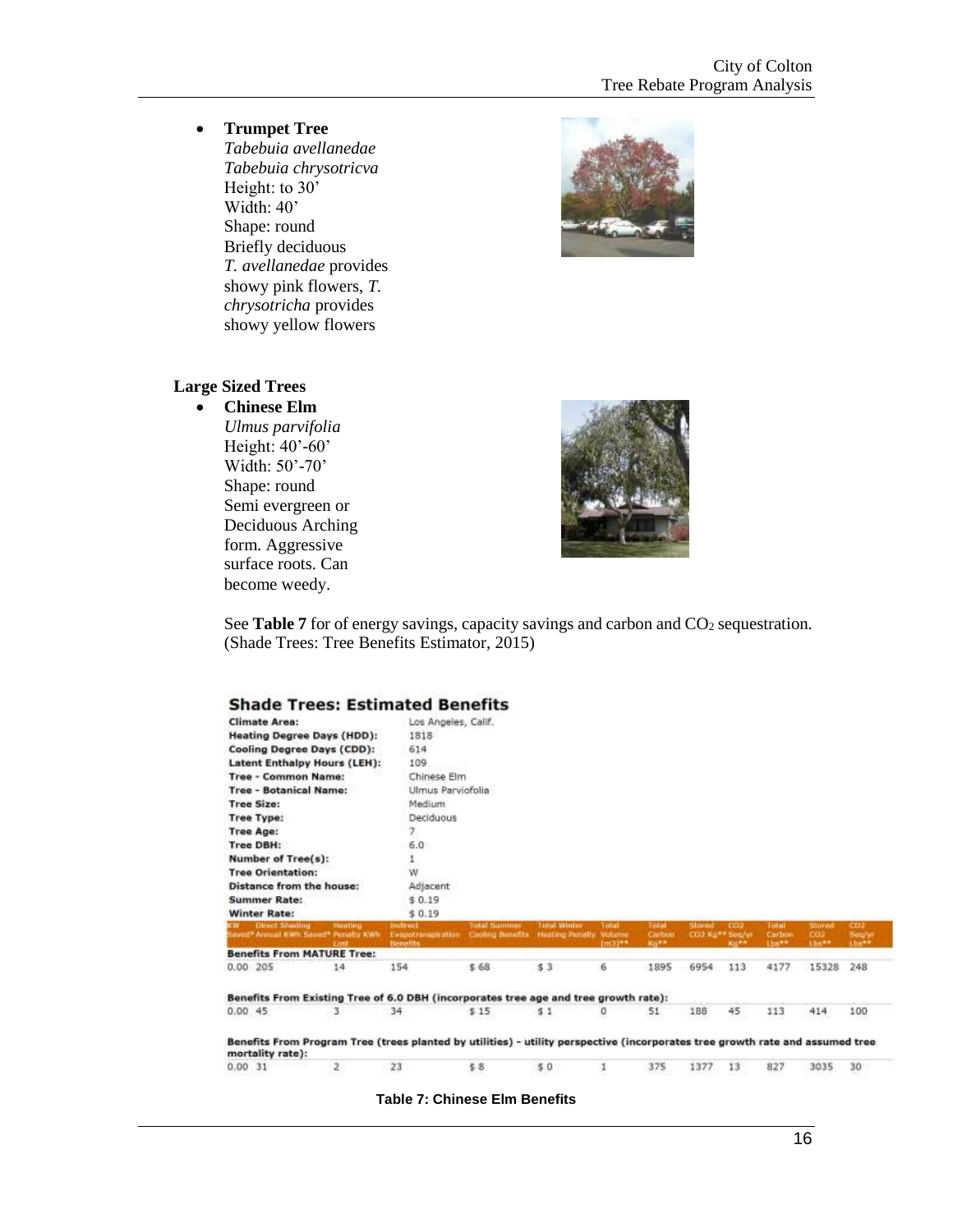**Trumpet Tree**

*Tabebuia avellanedae Tabebuia chrysotricva* Height: to 30' Width: 40' Shape: round Briefly deciduous *T. avellanedae* provides showy pink flowers, *T. chrysotricha* provides showy yellow flowers



#### **Large Sized Trees**

#### **Chinese Elm** *Ulmus parvifolia*

Height: 40'-60' Width: 50'-70' Shape: round Semi evergreen or Deciduous Arching form. Aggressive surface roots. Can become weedy.



See **Table 7** for of energy savings, capacity savings and carbon and CO<sub>2</sub> sequestration. (Shade Trees: Tree Benefits Estimator, 2015)

| <b>Climate Area:</b><br><b>Heating Degree Days (HDD):</b> |                                                                                                                               | Los Angeles, Calif. |                         |                        |                           |              |                 |               |                |                 |                 |
|-----------------------------------------------------------|-------------------------------------------------------------------------------------------------------------------------------|---------------------|-------------------------|------------------------|---------------------------|--------------|-----------------|---------------|----------------|-----------------|-----------------|
|                                                           |                                                                                                                               | 1818                |                         |                        |                           |              |                 |               |                |                 |                 |
|                                                           |                                                                                                                               |                     |                         |                        |                           |              |                 |               |                |                 |                 |
|                                                           | Cooling Degree Days (CDD):                                                                                                    | 614                 |                         |                        |                           |              |                 |               |                |                 |                 |
|                                                           | <b>Latent Enthalpy Hours (LEH):</b>                                                                                           | 109                 |                         |                        |                           |              |                 |               |                |                 |                 |
| <b>Tree - Common Name:</b>                                |                                                                                                                               | Chinese Elm         |                         |                        |                           |              |                 |               |                |                 |                 |
| <b>Tree - Botanical Name:</b>                             |                                                                                                                               | Ulmus Parviofolia   |                         |                        |                           |              |                 |               |                |                 |                 |
| <b>Tree Size:</b>                                         |                                                                                                                               | Medium              |                         |                        |                           |              |                 |               |                |                 |                 |
| <b>Tree Type:</b>                                         |                                                                                                                               | Deciduous           |                         |                        |                           |              |                 |               |                |                 |                 |
| <b>Tree Age:</b>                                          |                                                                                                                               | y.                  |                         |                        |                           |              |                 |               |                |                 |                 |
| Tree DBH:                                                 |                                                                                                                               | 6.0                 |                         |                        |                           |              |                 |               |                |                 |                 |
| Number of Tree(s):                                        |                                                                                                                               | 1                   |                         |                        |                           |              |                 |               |                |                 |                 |
| <b>Tree Orientation:</b>                                  |                                                                                                                               | W                   |                         |                        |                           |              |                 |               |                |                 |                 |
|                                                           | Distance from the house:                                                                                                      | Adjacent            |                         |                        |                           |              |                 |               |                |                 |                 |
| <b>Summer Rate:</b>                                       |                                                                                                                               | \$0.19              |                         |                        |                           |              |                 |               |                |                 |                 |
| <b>Winter Rate:</b>                                       |                                                                                                                               | \$0.19              |                         |                        |                           |              |                 |               |                |                 |                 |
|                                                           |                                                                                                                               | indenct.            | <b>Jokat Summer</b>     | <b>Tadail Winder</b>   | <b>Total</b>              | Total.       | <b>Stornd</b>   | EXIST.        | <b>Tertail</b> | Stored          | CD <sub>3</sub> |
| <b>Olmet Shuding</b>                                      | <b>Hearton</b><br>laved <sup>®</sup> Annual KWh Saved® Penalty KWh                                                            | Evapotranspiration. | <b>Cooling Bunefits</b> | Heating Penalty Volume |                           | Carboo       | CO2 Ku** Seq/yr |               | Carbon         | CO <sub>2</sub> | <b>Bearyr.</b>  |
|                                                           | Lost<br><b>Benefits From MATURE Tree:</b>                                                                                     | Benefits            |                         |                        | Emain*<br><b>CARL FOR</b> | <b>SEGRA</b> |                 | <b>Rollin</b> | the**          | Abs**           | (be**)          |
|                                                           | 14                                                                                                                            | 154                 | \$68                    | \$3                    | 6                         | 1895         | 6954            | 113           | 4177           | 15328           | 248             |
|                                                           | Benefits From Existing Tree of 6.0 DBH (incorporates tree age and tree growth rate):                                          |                     |                         |                        |                           |              |                 |               |                |                 |                 |
| 0.00.205<br>0.00.45                                       | 3                                                                                                                             | 34                  | \$15                    | 51                     | 0                         | 51           | 188             | 45            | 113            | 414             | 100             |
| mortality rate):                                          | Benefits From Program Tree (trees planted by utilities) - utility perspective (incorporates tree growth rate and assumed tree |                     |                         |                        |                           |              |                 |               |                |                 |                 |

**Table 7: Chinese Elm Benefits**